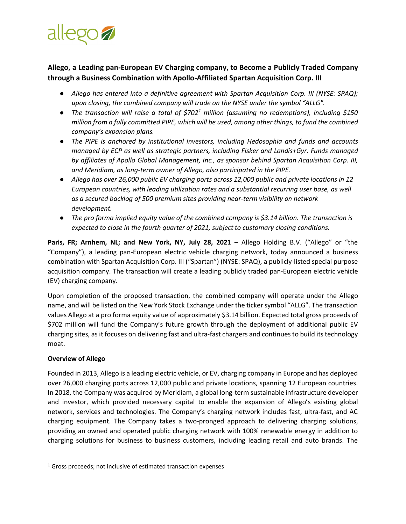

# **Allego, a Leading pan-European EV Charging company, to Become a Publicly Traded Company through a Business Combination with Apollo-Affiliated Spartan Acquisition Corp. III**

- *Allego has entered into a definitive agreement with Spartan Acquisition Corp. III (NYSE: SPAQ); upon closing, the combined company will trade on the NYSE under the symbol "ALLG".*
- *The transaction will raise a total of \$702[1](#page-0-0) million (assuming no redemptions), including \$150 million from a fully committed PIPE, which will be used, among other things, to fund the combined company's expansion plans.*
- *The PIPE is anchored by institutional investors, including Hedosophia and funds and accounts managed by ECP as well as strategic partners, including Fisker and Landis+Gyr. Funds managed by affiliates of Apollo Global Management, Inc., as sponsor behind Spartan Acquisition Corp. III, and Meridiam, as long-term owner of Allego, also participated in the PIPE.*
- *Allego has over 26,000 public EV charging ports across 12,000 public and private locations in 12 European countries, with leading utilization rates and a substantial recurring user base, as well as a secured backlog of 500 premium sites providing near-term visibility on network development.*
- *The pro forma implied equity value of the combined company is \$3.14 billion. The transaction is expected to close in the fourth quarter of 2021, subject to customary closing conditions.*

**Paris, FR; Arnhem, NL; and New York, NY, July 28, 2021** – Allego Holding B.V. ("Allego" or "the "Company"), a leading pan-European electric vehicle charging network, today announced a business combination with Spartan Acquisition Corp. III ("Spartan") (NYSE: SPAQ), a publicly-listed special purpose acquisition company. The transaction will create a leading publicly traded pan-European electric vehicle (EV) charging company.

Upon completion of the proposed transaction, the combined company will operate under the Allego name, and will be listed on the New York Stock Exchange under the ticker symbol "ALLG". The transaction values Allego at a pro forma equity value of approximately \$3.14 billion. Expected total gross proceeds of \$702 million will fund the Company's future growth through the deployment of additional public EV charging sites, as it focuses on delivering fast and ultra-fast chargers and continues to build its technology moat.

# **Overview of Allego**

Founded in 2013, Allego is a leading electric vehicle, or EV, charging company in Europe and has deployed over 26,000 charging ports across 12,000 public and private locations, spanning 12 European countries. In 2018, the Company was acquired by Meridiam, a global long-term sustainable infrastructure developer and investor, which provided necessary capital to enable the expansion of Allego's existing global network, services and technologies. The Company's charging network includes fast, ultra-fast, and AC charging equipment. The Company takes a two-pronged approach to delivering charging solutions, providing an owned and operated public charging network with 100% renewable energy in addition to charging solutions for business to business customers, including leading retail and auto brands. The

<span id="page-0-0"></span> $1$  Gross proceeds; not inclusive of estimated transaction expenses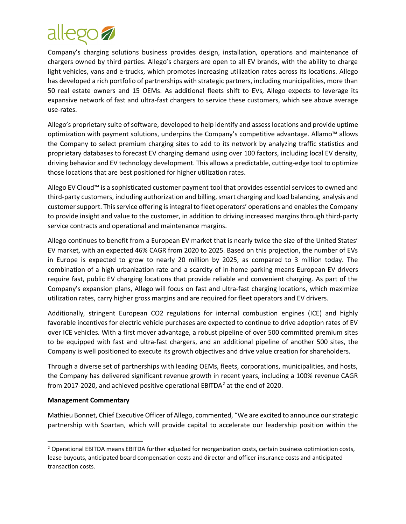

Company's charging solutions business provides design, installation, operations and maintenance of chargers owned by third parties. Allego's chargers are open to all EV brands, with the ability to charge light vehicles, vans and e-trucks, which promotes increasing utilization rates across its locations. Allego has developed a rich portfolio of partnerships with strategic partners, including municipalities, more than 50 real estate owners and 15 OEMs. As additional fleets shift to EVs, Allego expects to leverage its expansive network of fast and ultra-fast chargers to service these customers, which see above average use-rates.

Allego's proprietary suite of software, developed to help identify and assess locations and provide uptime optimization with payment solutions, underpins the Company's competitive advantage. Allamo™ allows the Company to select premium charging sites to add to its network by analyzing traffic statistics and proprietary databases to forecast EV charging demand using over 100 factors, including local EV density, driving behavior and EV technology development. This allows a predictable, cutting-edge tool to optimize those locations that are best positioned for higher utilization rates.

Allego EV Cloud™ is a sophisticated customer payment tool that provides essential services to owned and third-party customers, including authorization and billing, smart charging and load balancing, analysis and customer support. This service offering is integral to fleet operators' operations and enables the Company to provide insight and value to the customer, in addition to driving increased margins through third-party service contracts and operational and maintenance margins.

Allego continues to benefit from a European EV market that is nearly twice the size of the United States' EV market, with an expected 46% CAGR from 2020 to 2025. Based on this projection, the number of EVs in Europe is expected to grow to nearly 20 million by 2025, as compared to 3 million today. The combination of a high urbanization rate and a scarcity of in-home parking means European EV drivers require fast, public EV charging locations that provide reliable and convenient charging. As part of the Company's expansion plans, Allego will focus on fast and ultra-fast charging locations, which maximize utilization rates, carry higher gross margins and are required for fleet operators and EV drivers.

Additionally, stringent European CO2 regulations for internal combustion engines (ICE) and highly favorable incentives for electric vehicle purchases are expected to continue to drive adoption rates of EV over ICE vehicles. With a first mover advantage, a robust pipeline of over 500 committed premium sites to be equipped with fast and ultra-fast chargers, and an additional pipeline of another 500 sites, the Company is well positioned to execute its growth objectives and drive value creation for shareholders.

Through a diverse set of partnerships with leading OEMs, fleets, corporations, municipalities, and hosts, the Company has delivered significant revenue growth in recent years, including a 100% revenue CAGR from [2](#page-1-0)017-2020, and achieved positive operational EBITDA $^2$  at the end of 2020.

# **Management Commentary**

Mathieu Bonnet, Chief Executive Officer of Allego, commented, "We are excited to announce our strategic partnership with Spartan, which will provide capital to accelerate our leadership position within the

<span id="page-1-0"></span> $<sup>2</sup>$  Operational EBITDA means EBITDA further adjusted for reorganization costs, certain business optimization costs,</sup> lease buyouts, anticipated board compensation costs and director and officer insurance costs and anticipated transaction costs.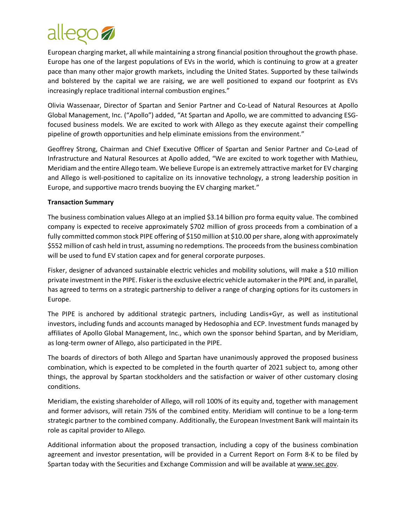European charging market, all while maintaining a strong financial position throughout the growth phase. Europe has one of the largest populations of EVs in the world, which is continuing to grow at a greater pace than many other major growth markets, including the United States. Supported by these tailwinds and bolstered by the capital we are raising, we are well positioned to expand our footprint as EVs increasingly replace traditional internal combustion engines."

Olivia Wassenaar, Director of Spartan and Senior Partner and Co-Lead of Natural Resources at Apollo Global Management, Inc. ("Apollo") added, "At Spartan and Apollo, we are committed to advancing ESGfocused business models. We are excited to work with Allego as they execute against their compelling pipeline of growth opportunities and help eliminate emissions from the environment."

Geoffrey Strong, Chairman and Chief Executive Officer of Spartan and Senior Partner and Co-Lead of Infrastructure and Natural Resources at Apollo added, "We are excited to work together with Mathieu, Meridiam and the entire Allego team. We believe Europe is an extremely attractive market for EV charging and Allego is well-positioned to capitalize on its innovative technology, a strong leadership position in Europe, and supportive macro trends buoying the EV charging market."

# **Transaction Summary**

The business combination values Allego at an implied \$3.14 billion pro forma equity value. The combined company is expected to receive approximately \$702 million of gross proceeds from a combination of a fully committed common stock PIPE offering of \$150 million at \$10.00 per share, along with approximately \$552 million of cash held in trust, assuming no redemptions. The proceeds from the business combination will be used to fund EV station capex and for general corporate purposes.

Fisker, designer of advanced sustainable electric vehicles and mobility solutions, will make a \$10 million private investment in the PIPE. Fisker is the exclusive electric vehicle automaker in the PIPE and, in parallel, has agreed to terms on a strategic partnership to deliver a range of charging options for its customers in Europe.

The PIPE is anchored by additional strategic partners, including Landis+Gyr, as well as institutional investors, including funds and accounts managed by Hedosophia and ECP. Investment funds managed by affiliates of Apollo Global Management, Inc., which own the sponsor behind Spartan, and by Meridiam, as long-term owner of Allego, also participated in the PIPE.

The boards of directors of both Allego and Spartan have unanimously approved the proposed business combination, which is expected to be completed in the fourth quarter of 2021 subject to, among other things, the approval by Spartan stockholders and the satisfaction or waiver of other customary closing conditions.

Meridiam, the existing shareholder of Allego, will roll 100% of its equity and, together with management and former advisors, will retain 75% of the combined entity. Meridiam will continue to be a long-term strategic partner to the combined company. Additionally, the European Investment Bank will maintain its role as capital provider to Allego.

Additional information about the proposed transaction, including a copy of the business combination agreement and investor presentation, will be provided in a Current Report on Form 8-K to be filed by Spartan today with the Securities and Exchange Commission and will be available at [www.sec.gov.](http://www.sec.gov/)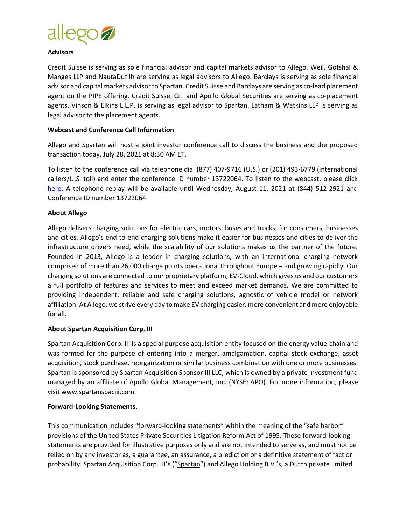

#### **Advisors**

Credit Suisse is serving as sole financial advisor and capital markets advisor to Allego. Weil, Gotshal & Manges LLP and NautaDutilh are serving as legal advisors to Allego. Barclays is serving as sole financial advisor and capital markets advisor to Spartan. Credit Suisse and Barclays are serving as co-lead placement agent on the PIPE offering. Credit Suisse, Citi and Apollo Global Securities are serving as co-placement agents. Vinson & Elkins L.L.P. is serving as legal advisor to Spartan. Latham & Watkins LLP is serving as legal advisor to the placement agents.

# **Webcast and Conference Call Information**

Allego and Spartan will host a joint investor conference call to discuss the business and the proposed transaction today, July 28, 2021 at 8:30 AM ET.

To listen to the conference call via telephone dial (877) 407-9716 (U.S.) or (201) 493-6779 (international callers/U.S. toll) and enter the conference ID number 13722064. To listen to the webcast, please click [here.](https://protect-us.mimecast.com/s/zabECL9YvxHlMLxZFqlrFe?domain=public.viavid.com) A telephone replay will be available until Wednesday, August 11, 2021 at (844) 512-2921 and Conference ID number 13722064.

# **About Allego**

Allego delivers charging solutions for electric cars, motors, buses and trucks, for consumers, businesses and cities. Allego's end-to-end charging solutions make it easier for businesses and cities to deliver the infrastructure drivers need, while the scalability of our solutions makes us the partner of the future. Founded in 2013, Allego is a leader in charging solutions, with an international charging network comprised of more than 26,000 charge points operational throughout Europe – and growing rapidly. Our charging solutions are connected to our proprietary platform, EV-Cloud, which gives us and our customers a full portfolio of features and services to meet and exceed market demands. We are committed to providing independent, reliable and safe charging solutions, agnostic of vehicle model or network affiliation. At Allego, we strive every day to make EV charging easier, more convenient and more enjoyable for all.

#### **About Spartan Acquisition Corp. III**

Spartan Acquisition Corp. III is a special purpose acquisition entity focused on the energy value-chain and was formed for the purpose of entering into a merger, amalgamation, capital stock exchange, asset acquisition, stock purchase, reorganization or similar business combination with one or more businesses. Spartan is sponsored by Spartan Acquisition Sponsor III LLC, which is owned by a private investment fund managed by an affiliate of Apollo Global Management, Inc. (NYSE: APO). For more information, please visit www.spartanspaciii.com.

#### **Forward-Looking Statements.**

This communication includes "forward-looking statements" within the meaning of the "safe harbor" provisions of the United States Private Securities Litigation Reform Act of 1995. These forward-looking statements are provided for illustrative purposes only and are not intended to serve as, and must not be relied on by any investor as, a guarantee, an assurance, a prediction or a definitive statement of fact or probability. Spartan Acquisition Corp. III's ("Spartan") and Allego Holding B.V.'s, a Dutch private limited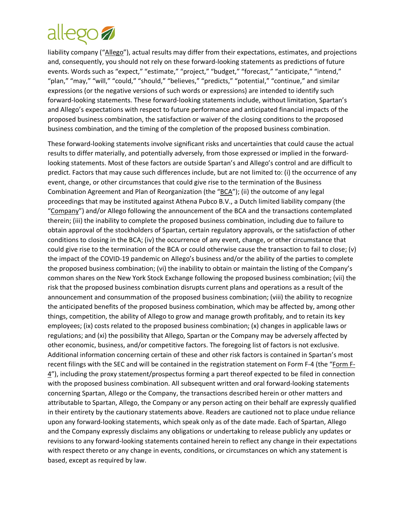# allego

liability company ("Allego"), actual results may differ from their expectations, estimates, and projections and, consequently, you should not rely on these forward-looking statements as predictions of future events. Words such as "expect," "estimate," "project," "budget," "forecast," "anticipate," "intend," "plan," "may," "will," "could," "should," "believes," "predicts," "potential," "continue," and similar expressions (or the negative versions of such words or expressions) are intended to identify such forward-looking statements. These forward-looking statements include, without limitation, Spartan's and Allego's expectations with respect to future performance and anticipated financial impacts of the proposed business combination, the satisfaction or waiver of the closing conditions to the proposed business combination, and the timing of the completion of the proposed business combination.

These forward-looking statements involve significant risks and uncertainties that could cause the actual results to differ materially, and potentially adversely, from those expressed or implied in the forwardlooking statements. Most of these factors are outside Spartan's and Allego's control and are difficult to predict. Factors that may cause such differences include, but are not limited to: (i) the occurrence of any event, change, or other circumstances that could give rise to the termination of the Business Combination Agreement and Plan of Reorganization (the "BCA"); (ii) the outcome of any legal proceedings that may be instituted against Athena Pubco B.V., a Dutch limited liability company (the "Company") and/or Allego following the announcement of the BCA and the transactions contemplated therein; (iii) the inability to complete the proposed business combination, including due to failure to obtain approval of the stockholders of Spartan, certain regulatory approvals, or the satisfaction of other conditions to closing in the BCA; (iv) the occurrence of any event, change, or other circumstance that could give rise to the termination of the BCA or could otherwise cause the transaction to fail to close; (v) the impact of the COVID-19 pandemic on Allego's business and/or the ability of the parties to complete the proposed business combination; (vi) the inability to obtain or maintain the listing of the Company's common shares on the New York Stock Exchange following the proposed business combination; (vii) the risk that the proposed business combination disrupts current plans and operations as a result of the announcement and consummation of the proposed business combination; (viii) the ability to recognize the anticipated benefits of the proposed business combination, which may be affected by, among other things, competition, the ability of Allego to grow and manage growth profitably, and to retain its key employees; (ix) costs related to the proposed business combination; (x) changes in applicable laws or regulations; and (xi) the possibility that Allego, Spartan or the Company may be adversely affected by other economic, business, and/or competitive factors. The foregoing list of factors is not exclusive. Additional information concerning certain of these and other risk factors is contained in Spartan's most recent filings with the SEC and will be contained in the registration statement on Form F-4 (the "Form F-4"), including the proxy statement/prospectus forming a part thereof expected to be filed in connection with the proposed business combination. All subsequent written and oral forward-looking statements concerning Spartan, Allego or the Company, the transactions described herein or other matters and attributable to Spartan, Allego, the Company or any person acting on their behalf are expressly qualified in their entirety by the cautionary statements above. Readers are cautioned not to place undue reliance upon any forward-looking statements, which speak only as of the date made. Each of Spartan, Allego and the Company expressly disclaims any obligations or undertaking to release publicly any updates or revisions to any forward-looking statements contained herein to reflect any change in their expectations with respect thereto or any change in events, conditions, or circumstances on which any statement is based, except as required by law.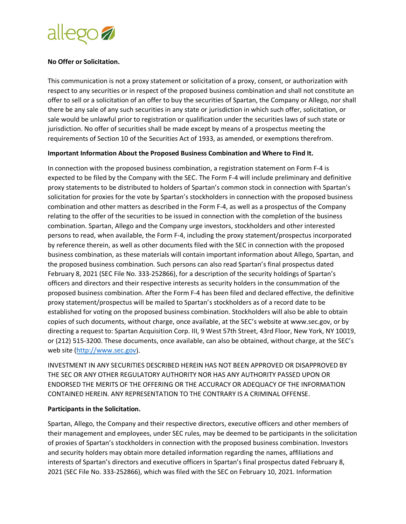

# **No Offer or Solicitation.**

This communication is not a proxy statement or solicitation of a proxy, consent, or authorization with respect to any securities or in respect of the proposed business combination and shall not constitute an offer to sell or a solicitation of an offer to buy the securities of Spartan, the Company or Allego, nor shall there be any sale of any such securities in any state or jurisdiction in which such offer, solicitation, or sale would be unlawful prior to registration or qualification under the securities laws of such state or jurisdiction. No offer of securities shall be made except by means of a prospectus meeting the requirements of Section 10 of the Securities Act of 1933, as amended, or exemptions therefrom.

# **Important Information About the Proposed Business Combination and Where to Find It.**

In connection with the proposed business combination, a registration statement on Form F-4 is expected to be filed by the Company with the SEC. The Form F-4 will include preliminary and definitive proxy statements to be distributed to holders of Spartan's common stock in connection with Spartan's solicitation for proxies for the vote by Spartan's stockholders in connection with the proposed business combination and other matters as described in the Form F-4, as well as a prospectus of the Company relating to the offer of the securities to be issued in connection with the completion of the business combination. Spartan, Allego and the Company urge investors, stockholders and other interested persons to read, when available, the Form F-4, including the proxy statement/prospectus incorporated by reference therein, as well as other documents filed with the SEC in connection with the proposed business combination, as these materials will contain important information about Allego, Spartan, and the proposed business combination. Such persons can also read Spartan's final prospectus dated February 8, 2021 (SEC File No. 333-252866), for a description of the security holdings of Spartan's officers and directors and their respective interests as security holders in the consummation of the proposed business combination. After the Form F-4 has been filed and declared effective, the definitive proxy statement/prospectus will be mailed to Spartan's stockholders as of a record date to be established for voting on the proposed business combination. Stockholders will also be able to obtain copies of such documents, without charge, once available, at the SEC's website at www.sec.gov, or by directing a request to: Spartan Acquisition Corp. III, 9 West 57th Street, 43rd Floor, New York, NY 10019, or (212) 515-3200. These documents, once available, can also be obtained, without charge, at the SEC's web site [\(http://www.sec.gov\)](http://www.sec.gov/).

INVESTMENT IN ANY SECURITIES DESCRIBED HEREIN HAS NOT BEEN APPROVED OR DISAPPROVED BY THE SEC OR ANY OTHER REGULATORY AUTHORITY NOR HAS ANY AUTHORITY PASSED UPON OR ENDORSED THE MERITS OF THE OFFERING OR THE ACCURACY OR ADEQUACY OF THE INFORMATION CONTAINED HEREIN. ANY REPRESENTATION TO THE CONTRARY IS A CRIMINAL OFFENSE.

# **Participants in the Solicitation.**

Spartan, Allego, the Company and their respective directors, executive officers and other members of their management and employees, under SEC rules, may be deemed to be participants in the solicitation of proxies of Spartan's stockholders in connection with the proposed business combination. Investors and security holders may obtain more detailed information regarding the names, affiliations and interests of Spartan's directors and executive officers in Spartan's final prospectus dated February 8, 2021 (SEC File No. 333-252866), which was filed with the SEC on February 10, 2021. Information